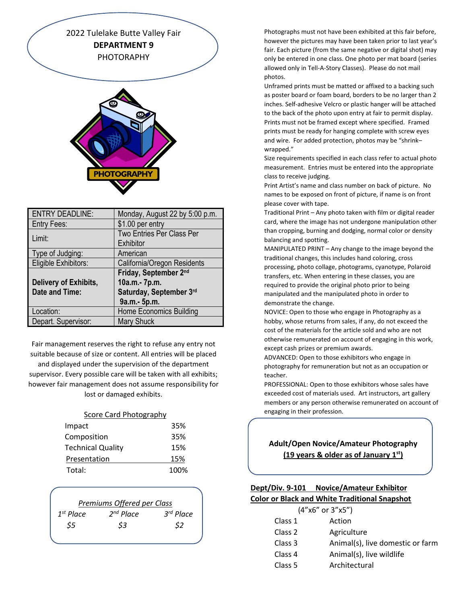2022 Tulelake Butte Valley Fair **DEPARTMENT 9** PHOTORAPHY



| <b>ENTRY DEADLINE:</b> | Monday, August 22 by 5:00 p.m. |
|------------------------|--------------------------------|
| Entry Fees:            | \$1.00 per entry               |
| Limit:                 | Two Entries Per Class Per      |
|                        | Exhibitor                      |
| Type of Judging:       | American                       |
| Eligible Exhibitors:   | California/Oregon Residents    |
|                        | Friday, September 2nd          |
| Delivery of Exhibits,  | 10a.m.- 7p.m.                  |
| <b>Date and Time:</b>  | Saturday, September 3rd        |
|                        | 9a.m.- 5p.m.                   |
| Location:              | <b>Home Economics Building</b> |
| Depart. Supervisor:    | <b>Mary Shuck</b>              |

Fair management reserves the right to refuse any entry not suitable because of size or content. All entries will be placed

and displayed under the supervision of the department supervisor. Every possible care will be taken with all exhibits; however fair management does not assume responsibility for lost or damaged exhibits.

#### Score Card Photography

| Impact                   | 35%  |
|--------------------------|------|
| Composition              | 35%  |
| <b>Technical Quality</b> | 15%  |
| Presentation             | 15%  |
| Total:                   | 100% |

| Premiums Offered per Class |                |                |
|----------------------------|----------------|----------------|
| $1^{st}$ Place             | $2^{nd}$ Place | $3^{rd}$ Place |
| \$5                        | \$3            | S2             |
|                            |                |                |

Photographs must not have been exhibited at this fair before, however the pictures may have been taken prior to last year's fair. Each picture (from the same negative or digital shot) may only be entered in one class. One photo per mat board (series allowed only in Tell-A-Story Classes). Please do not mail photos.

Unframed prints must be matted or affixed to a backing such as poster board or foam board, borders to be no larger than 2 inches. Self-adhesive Velcro or plastic hanger will be attached to the back of the photo upon entry at fair to permit display. Prints must not be framed except where specified. Framed prints must be ready for hanging complete with screw eyes and wire. For added protection, photos may be "shrink– wrapped."

Size requirements specified in each class refer to actual photo measurement. Entries must be entered into the appropriate class to receive judging.

Print Artist's name and class number on back of picture. No names to be exposed on front of picture, if name is on front please cover with tape.

Traditional Print – Any photo taken with film or digital reader card, where the image has not undergone manipulation other than cropping, burning and dodging, normal color or density balancing and spotting.

MANIPULATED PRINT – Any change to the image beyond the traditional changes, this includes hand coloring, cross processing, photo collage, photograms, cyanotype, Polaroid transfers, etc. When entering in these classes, you are required to provide the original photo prior to being manipulated and the manipulated photo in order to demonstrate the change.

NOVICE: Open to those who engage in Photography as a hobby, whose returns from sales, if any, do not exceed the cost of the materials for the article sold and who are not otherwise remunerated on account of engaging in this work, except cash prizes or premium awards.

ADVANCED: Open to those exhibitors who engage in photography for remuneration but not as an occupation or teacher.

PROFESSIONAL: Open to those exhibitors whose sales have exceeded cost of materials used. Art instructors, art gallery members or any person otherwise remunerated on account of engaging in their profession.

# **Adult/Open Novice/Amateur Photography (19 years & older as of January 1st)**

# **Dept/Div. 9-101 Novice/Amateur Exhibitor Color or Black and White Traditional Snapshot**

| $(4"x6"$ or $3"x5")$ |                                  |
|----------------------|----------------------------------|
| Class 1              | Action                           |
| Class 2              | Agriculture                      |
| Class 3              | Animal(s), live domestic or farm |
| Class 4              | Animal(s), live wildlife         |
| Class 5              | Architectural                    |
|                      |                                  |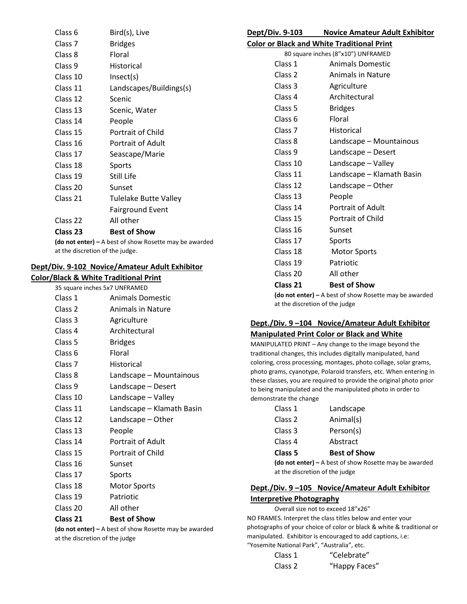| Class 6  | Bird(s), Live           |
|----------|-------------------------|
| Class 7  | Bridges                 |
| Class 8  | Floral                  |
| Class 9  | Historical              |
| Class 10 | Insect(s)               |
| Class 11 | Landscapes/Buildings(s) |
| Class 12 | Scenic                  |
| Class 13 | Scenic, Water           |
| Class 14 | People                  |
| Class 15 | Portrait of Child       |
| Class 16 | Portrait of Adult       |
| Class 17 | Seascape/Marie          |
| Class 18 | Sports                  |
| Class 19 | Still Life              |
| Class 20 | Sunset                  |
| Class 21 | Tulelake Butte Valley   |
|          | <b>Fairground Event</b> |
| Class 22 | All other               |
| Class 23 | Best of Show            |
|          |                         |

**(do not enter) –** A best of show Rosette may be awarded at the discretion of the judge.

## **Dept/Div. 9-102 Novice/Amateur Adult Exhibitor**

| <b>Color/Black &amp; White Traditional Print</b> |                               |  |
|--------------------------------------------------|-------------------------------|--|
|                                                  | 35 square inches 5x7 UNFRAMED |  |
| Class 1                                          | <b>Animals Domestic</b>       |  |
| Class 2                                          | <b>Animals in Nature</b>      |  |
| Class 3                                          | Agriculture                   |  |
| Class 4                                          | Architectural                 |  |
| Class 5                                          | <b>Bridges</b>                |  |
| Class 6                                          | Floral                        |  |
| Class <sub>7</sub>                               | Historical                    |  |
| Class 8                                          | Landscape - Mountainous       |  |
| Class 9                                          | Landscape - Desert            |  |
| Class 10                                         | Landscape - Valley            |  |
| Class 11                                         | Landscape - Klamath Basin     |  |
| Class 12                                         | Landscape - Other             |  |
| Class 13                                         | People                        |  |
| Class 14                                         | Portrait of Adult             |  |
| Class 15                                         | Portrait of Child             |  |
| Class 16                                         | Sunset                        |  |
| Class 17                                         | Sports                        |  |
| Class 18                                         | <b>Motor Sports</b>           |  |
| Class 19                                         | Patriotic                     |  |
| Class 20                                         | All other                     |  |
| Class 21                                         | <b>Best of Show</b>           |  |

**(do not enter) –** A best of show Rosette may be awarded at the discretion of the judge

| Dept/Div. 9-103 | <b>Novice Amateur Adult Exhibitor</b> |
|-----------------|---------------------------------------|
|                 |                                       |

| <b>Color or Black and White Traditional Print</b> |
|---------------------------------------------------|
|---------------------------------------------------|

80 square inches (8"x10") UNFRAMED

| Class 1            | <b>Animals Domestic</b>   |
|--------------------|---------------------------|
| Class <sub>2</sub> | <b>Animals in Nature</b>  |
| Class 3            | Agriculture               |
| Class 4            | Architectural             |
| Class <sub>5</sub> | <b>Bridges</b>            |
| Class 6            | Floral                    |
| Class <sub>7</sub> | Historical                |
| Class 8            | Landscape - Mountainous   |
| Class <sub>9</sub> | Landscape - Desert        |
| Class 10           | Landscape - Valley        |
| Class 11           | Landscape – Klamath Basin |
| Class 12           | Landscape - Other         |
| Class 13           | People                    |
| Class 14           | Portrait of Adult         |
| Class 15           | Portrait of Child         |
| Class 16           | Sunset                    |
| Class 17           | Sports                    |
| Class 18           | <b>Motor Sports</b>       |
| Class 19           | Patriotic                 |
| Class 20           | All other                 |
| Class 21           | <b>Best of Show</b>       |
|                    |                           |

**(do not enter) –** A best of show Rosette may be awarded at the discretion of the judge

## **Dept./Div. 9 –104 Novice/Amateur Adult Exhibitor Manipulated Print Color or Black and White**

MANIPULATED PRINT – Any change to the image beyond the traditional changes, this includes digitally manipulated, hand coloring, cross processing, montages, photo collage, solar grams, photo grams, cyanotype, Polaroid transfers, etc. When entering in these classes, you are required to provide the original photo prior to being manipulated and the manipulated photo in order to demonstrate the change

| Class 1            | Landscape           |
|--------------------|---------------------|
| Class <sub>2</sub> | Animal(s)           |
| Class 3            | Person(s)           |
| Class <sub>4</sub> | Abstract            |
| Class <sub>5</sub> | <b>Best of Show</b> |

**(do not enter) –** A best of show Rosette may be awarded at the discretion of the judge

# **Dept./Div. 9 –105 Novice/Amateur Adult Exhibitor Interpretive Photography**

Overall size not to exceed 18"x26" NO FRAMES. Interpret the class titles below and enter your photographs of your choice of color or black & white & traditional or manipulated. Exhibitor is encouraged to add captions, i.e: "Yosemite National Park", "Australia", etc.

| Class 1 | "Celebrate"   |
|---------|---------------|
| Class 2 | "Happy Faces" |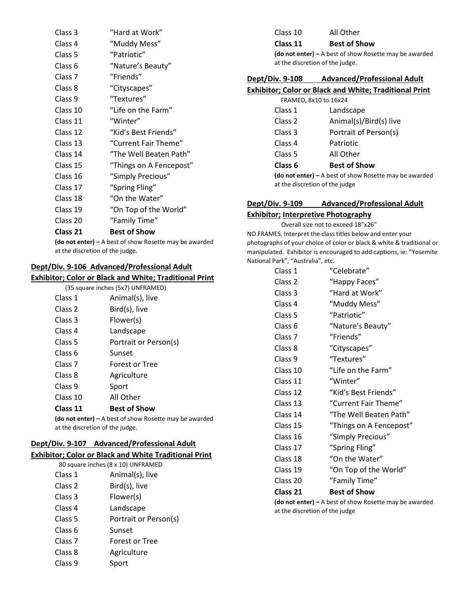| Class 3            | "Hard at Work"          |
|--------------------|-------------------------|
| Class 4            | "Muddy Mess"            |
| Class 5            | "Patriotic"             |
| Class 6            | "Nature's Beauty"       |
| Class <sub>7</sub> | "Friends"               |
| Class 8            | "Cityscapes"            |
| Class 9            | "Textures"              |
| Class 10           | "Life on the Farm"      |
| Class 11           | "Winter"                |
| Class 12           | "Kid's Best Friends"    |
| Class 13           | "Current Fair Theme"    |
| Class 14           | "The Well Beaten Path"  |
| Class 15           | "Things on A Fencepost" |
| Class 16           | "Simply Precious"       |
| Class 17           | "Spring Fling"          |
| Class 18           | "On the Water"          |
| Class 19           | "On Top of the World"   |
| Class 20           | "Family Time"           |
| Class 21           | Best of Show            |

**(do not enter) –** A best of show Rosette may be awarded at the discretion of the judge.

## **Dept/Div. 9-106 Advanced/Professional Adult**

## **Exhibitor; Color or Black and White; Traditional Print**

|                    | (35 square inches (5x7) UNFRAMED) |
|--------------------|-----------------------------------|
| Class 1            | Animal(s), live                   |
| Class <sub>2</sub> | Bird(s), live                     |
| Class 3            | Flower(s)                         |
| Class 4            | Landscape                         |
| Class <sub>5</sub> | Portrait or Person(s)             |
| Class <sub>6</sub> | Sunset                            |
| Class <sub>7</sub> | Forest or Tree                    |
| Class 8            | Agriculture                       |
| Class 9            | Sport                             |
| Class 10           | All Other                         |
| Class 11           | <b>Best of Show</b>               |
|                    |                                   |

**(do not enter) –** A best of show Rosette may be awarded at the discretion of the judge.

## **Dept/Div. 9-107 Advanced/Professional Adult**

# **Exhibitor; Color or Black and White Traditional Print**

|                    | 80 square inches (8 x 10) UNFRAMED |
|--------------------|------------------------------------|
| Class 1            | Animal(s), live                    |
| Class 2            | Bird(s), live                      |
| Class 3            | Flower(s)                          |
| Class 4            | Landscape                          |
| Class 5            | Portrait or Person(s)              |
| Class 6            | Sunset                             |
| Class <sub>7</sub> | Forest or Tree                     |
| Class 8            | Agriculture                        |
| Class 9            |                                    |

| Class 10 | All Other           |
|----------|---------------------|
| Class 11 | <b>Best of Show</b> |

**(do not enter) –** A best of show Rosette may be awarded at the discretion of the judge.

#### **Dept/Div. 9-108 Advanced/Professional Adult**

## **Exhibitor; Color or Black and White; Traditional Print**

|  |  | FRAMED, 8x10 to 16x24 |  |  |  |
|--|--|-----------------------|--|--|--|
|--|--|-----------------------|--|--|--|

|         | <b>(do not enter)</b> – A best of show Rosette may be a |
|---------|---------------------------------------------------------|
| Class 6 | <b>Best of Show</b>                                     |
| Class 5 | All Other                                               |
| Class 4 | Patriotic                                               |
| Class 3 | Portrait of Person(s)                                   |
| Class 2 | Animal(s)/Bird(s) live                                  |
| Class 1 | Landscape                                               |

**(do not enter) –** A best of show Rosette may be awarded at the discretion of the judge

## **Dept/Div. 9-109 Advanced/Professional Adult Exhibitor; Interpretive Photography**

## Overall size not to exceed 18"x26" NO FRAMES. Interpret the class titles below and enter your photographs of your choice of color or black & white & traditional or manipulated. Exhibitor is encouraged to add captions, ie: "Yosemite National Park", "Australia", etc.

| Class 1            | "Celebrate"             |
|--------------------|-------------------------|
| Class 2            | "Happy Faces"           |
| Class 3            | "Hard at Work"          |
| Class 4            | "Muddy Mess"            |
| Class 5            | "Patriotic"             |
| Class 6            | "Nature's Beauty"       |
| Class <sub>7</sub> | "Friends"               |
| Class 8            | "Cityscapes"            |
| Class 9            | "Textures"              |
| Class 10           | "Life on the Farm"      |
| Class 11           | "Winter"                |
| Class 12           | "Kid's Best Friends"    |
| Class 13           | "Current Fair Theme"    |
| Class 14           | "The Well Beaten Path"  |
| Class 15           | "Things on A Fencepost" |
| Class 16           | "Simply Precious"       |
| Class 17           | "Spring Fling"          |
| Class 18           | "On the Water"          |
| Class 19           | "On Top of the World"   |
| Class 20           | "Family Time"           |
| Class 21           | <b>Best of Show</b>     |

**(do not enter) –** A best of show Rosette may be awarded at the discretion of the judge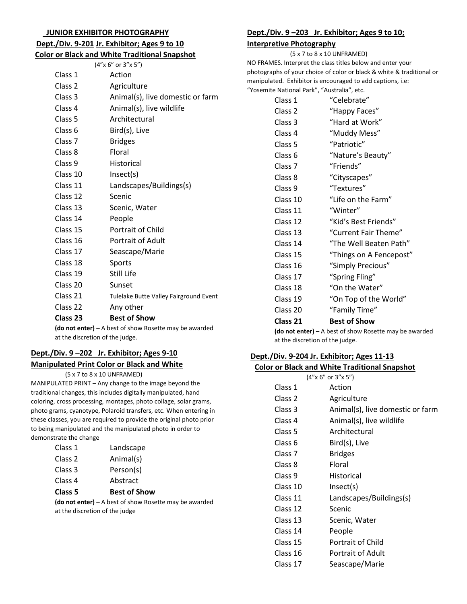#### **JUNIOR EXHIBITOR PHOTOGRAPHY**

# **Dept./Div. 9-201 Jr. Exhibitor; Ages 9 to 10**

|  |  | <b>Color or Black and White Traditional Snapshot</b> |  |
|--|--|------------------------------------------------------|--|
|  |  |                                                      |  |

|                    | (4"x 6" or 3"x 5")                                                                  |
|--------------------|-------------------------------------------------------------------------------------|
| Class 1            | Action                                                                              |
| Class 2            | Agriculture                                                                         |
| Class 3            | Animal(s), live domestic or farm                                                    |
| Class 4            | Animal(s), live wildlife                                                            |
| Class <sub>5</sub> | Architectural                                                                       |
| Class <sub>6</sub> | Bird(s), Live                                                                       |
| Class <sub>7</sub> | <b>Bridges</b>                                                                      |
| Class 8            | Floral                                                                              |
| Class 9            | <b>Historical</b>                                                                   |
| Class 10           | Insect(s)                                                                           |
| Class 11           | Landscapes/Buildings(s)                                                             |
| Class 12           | Scenic                                                                              |
| Class 13           | Scenic, Water                                                                       |
| Class 14           | People                                                                              |
| Class 15           | Portrait of Child                                                                   |
| Class 16           | <b>Portrait of Adult</b>                                                            |
| Class 17           | Seascape/Marie                                                                      |
| Class 18           | Sports                                                                              |
| Class 19           | <b>Still Life</b>                                                                   |
| Class 20           | Sunset                                                                              |
| Class 21           | Tulelake Butte Valley Fairground Event                                              |
| Class 22           | Any other                                                                           |
| Class 23           | <b>Best of Show</b>                                                                 |
|                    | $A \sim \text{net}$ antar $\lambda$ , $\lambda$ best of show Besette may be awarded |

**(do not enter) –** A best of show Rosette may be awarded at the discretion of the judge.

# **Dept./Div. 9 –202 Jr. Exhibitor; Ages 9-10**

### **Manipulated Print Color or Black and White**

(5 x 7 to 8 x 10 UNFRAMED)

MANIPULATED PRINT – Any change to the image beyond the traditional changes, this includes digitally manipulated, hand coloring, cross processing, montages, photo collage, solar grams, photo grams, cyanotype, Polaroid transfers, etc. When entering in these classes, you are required to provide the original photo prior to being manipulated and the manipulated photo in order to demonstrate the change

| Class 1 | Landscape                                       |
|---------|-------------------------------------------------|
| Class 2 | Animal(s)                                       |
| Class 3 | Person(s)                                       |
| Class 4 | Abstract                                        |
| Class 5 | <b>Best of Show</b>                             |
|         | (do not enter) $-$ A best of show Rosette may b |

be awarded at the discretion of the judge

# **Dept./Div. 9 –203 Jr. Exhibitor; Ages 9 to 10;**

### **Interpretive Photography**

 (5 x 7 to 8 x 10 UNFRAMED) NO FRAMES. Interpret the class titles below and enter your photographs of your choice of color or black & white & traditional or manipulated. Exhibitor is encouraged to add captions, i.e: "Yosemite National Park", "Australia", etc.

| Class 1            | "Celebrate"             |
|--------------------|-------------------------|
| Class <sub>2</sub> | "Happy Faces"           |
| Class 3            | "Hard at Work"          |
| Class 4            | "Muddy Mess"            |
| Class 5            | "Patriotic"             |
| Class 6            | "Nature's Beauty"       |
| Class <sub>7</sub> | "Friends"               |
| Class 8            | "Cityscapes"            |
| Class 9            | "Textures"              |
| Class 10           | "Life on the Farm"      |
| Class 11           | "Winter"                |
| Class 12           | "Kid's Best Friends"    |
| Class 13           | "Current Fair Theme"    |
| Class 14           | "The Well Beaten Path"  |
| Class 15           | "Things on A Fencepost" |
| Class 16           | "Simply Precious"       |
| Class 17           | "Spring Fling"          |
| Class 18           | "On the Water"          |
| Class 19           | "On Top of the World"   |
| Class 20           | "Family Time"           |
| Class 21           | Best of Show            |

**(do not enter) –** A best of show Rosette may be awarded at the discretion of the judge.

## **Dept./Div. 9-204 Jr. Exhibitor; Ages 11-13 Color or Black and White Traditional Snapshot**

|                    | $(4''$ x 6" or $3''$ x 5")       |
|--------------------|----------------------------------|
| Class 1            | Action                           |
| Class 2            | Agriculture                      |
| Class 3            | Animal(s), live domestic or farm |
| Class 4            | Animal(s), live wildlife         |
| Class 5            | Architectural                    |
| Class 6            | Bird(s), Live                    |
| Class <sub>7</sub> | <b>Bridges</b>                   |
| Class 8            | Floral                           |
| Class 9            | Historical                       |
| Class 10           | Insect(s)                        |
| Class 11           | Landscapes/Buildings(s)          |
| Class 12           | Scenic                           |
| Class 13           | Scenic, Water                    |
| Class 14           | People                           |
| Class 15           | Portrait of Child                |
| Class 16           | Portrait of Adult                |
| Class 17           | Seascape/Marie                   |
|                    |                                  |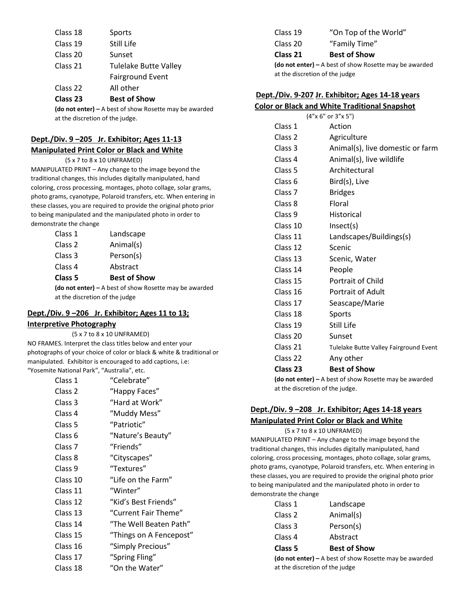| Sports                       |
|------------------------------|
| Still Life                   |
| Sunset                       |
| <b>Tulelake Butte Valley</b> |
| <b>Fairground Event</b>      |
| All other                    |
|                              |

**Class 23 Best of Show** 

**(do not enter) –** A best of show Rosette may be awarded at the discretion of the judge.

# **Dept./Div. 9 –205 Jr. Exhibitor; Ages 11-13 Manipulated Print Color or Black and White**

(5 x 7 to 8 x 10 UNFRAMED)

MANIPULATED PRINT – Any change to the image beyond the traditional changes, this includes digitally manipulated, hand coloring, cross processing, montages, photo collage, solar grams, photo grams, cyanotype, Polaroid transfers, etc. When entering in these classes, you are required to provide the original photo prior to being manipulated and the manipulated photo in order to demonstrate the change

| Class 1 | Landscape                                                |  |
|---------|----------------------------------------------------------|--|
| Class 2 | Animal(s)                                                |  |
| Class 3 | Person(s)                                                |  |
| Class 4 | Abstract                                                 |  |
| Class 5 | <b>Best of Show</b>                                      |  |
|         | (do not enter) $-$ A best of show Rosette may be awarded |  |
|         | at the discretion of the judge                           |  |

# **Dept./Div. 9 –206 Jr. Exhibitor; Ages 11 to 13; Interpretive Photography**

 (5 x 7 to 8 x 10 UNFRAMED) NO FRAMES. Interpret the class titles below and enter your photographs of your choice of color or black & white & traditional or manipulated. Exhibitor is encouraged to add captions, i.e: "Yosemite National Park", "Australia", etc.

| Class 1  | "Celebrate"             |
|----------|-------------------------|
| Class 2  | "Happy Faces"           |
| Class 3  | "Hard at Work"          |
| Class 4  | "Muddy Mess"            |
| Class 5  | "Patriotic"             |
| Class 6  | "Nature's Beauty"       |
| Class 7  | "Friends"               |
| Class 8  | "Cityscapes"            |
| Class 9  | "Textures"              |
| Class 10 | "Life on the Farm"      |
| Class 11 | "Winter"                |
| Class 12 | "Kid's Best Friends"    |
| Class 13 | "Current Fair Theme"    |
| Class 14 | "The Well Beaten Path"  |
| Class 15 | "Things on A Fencepost" |
| Class 16 | "Simply Precious"       |
| Class 17 | "Spring Fling"          |
| Class 18 | "On the Water"          |

| Class 19                                                 | "On Top of the World" |
|----------------------------------------------------------|-----------------------|
| Class 20                                                 | "Family Time"         |
| Class 21                                                 | <b>Best of Show</b>   |
| (do not enter) $-$ A best of show Rosette may be awarded |                       |
| at the discretion of the judge                           |                       |

## **Dept./Div. 9-207 Jr. Exhibitor; Ages 14-18 years Color or Black and White Traditional Snapshot**

| <u>Color of black and writte Traditional Shapshot</u> |                                        |
|-------------------------------------------------------|----------------------------------------|
| (4"x 6" or 3"x 5")                                    |                                        |
| Class 1                                               | Action                                 |
| Class 2                                               | Agriculture                            |
| Class 3                                               | Animal(s), live domestic or farm       |
| Class 4                                               | Animal(s), live wildlife               |
| Class 5                                               | Architectural                          |
| Class 6                                               | Bird(s), Live                          |
| Class <sub>7</sub>                                    | <b>Bridges</b>                         |
| Class 8                                               | Floral                                 |
| Class 9                                               | <b>Historical</b>                      |
| Class 10                                              | Insect(s)                              |
| Class 11                                              | Landscapes/Buildings(s)                |
| Class 12                                              | Scenic                                 |
| Class 13                                              | Scenic, Water                          |
| Class 14                                              | People                                 |
| Class 15                                              | Portrait of Child                      |
| Class 16                                              | <b>Portrait of Adult</b>               |
| Class 17                                              | Seascape/Marie                         |
| Class 18                                              | Sports                                 |
| Class 19                                              | Still Life                             |
| Class 20                                              | Sunset                                 |
| Class 21                                              | Tulelake Butte Valley Fairground Event |
| Class 22                                              | Any other                              |
| Class 23                                              | <b>Best of Show</b>                    |
|                                                       |                                        |

**(do not enter) –** A best of show Rosette may be awarded at the discretion of the judge.

# **Dept./Div. 9 –208 Jr. Exhibitor; Ages 14-18 years Manipulated Print Color or Black and White**

 (5 x 7 to 8 x 10 UNFRAMED) MANIPULATED PRINT – Any change to the image beyond the traditional changes, this includes digitally manipulated, hand coloring, cross processing, montages, photo collage, solar grams, photo grams, cyanotype, Polaroid transfers, etc. When entering in these classes, you are required to provide the original photo prior to being manipulated and the manipulated photo in order to demonstrate the change

| $\sim$ $\sim$ $\sim$ $\sim$ $\sim$ | 8 Level of the composition |
|------------------------------------|----------------------------|
| Class 5                            | <b>Best of Show</b>        |
| Class 4                            | Abstract                   |
| Class 3                            | Person(s)                  |
| Class 2                            | Animal(s)                  |
| Class 1                            | Landscape                  |

**(do not enter) –** A best of show Rosette may be awarded at the discretion of the judge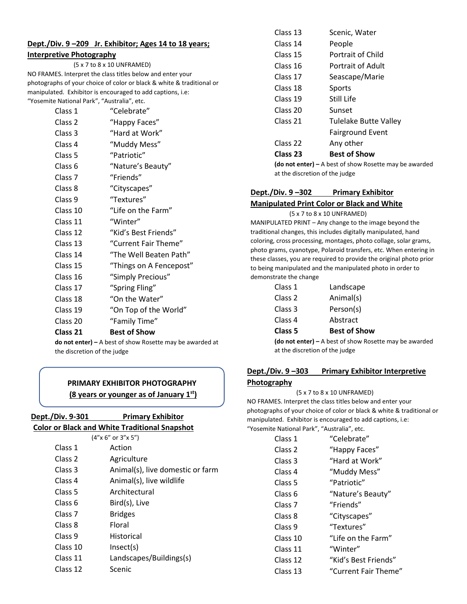# **Dept./Div. 9 –209 Jr. Exhibitor; Ages 14 to 18 years; Interpretive Photography**

# (5 x 7 to 8 x 10 UNFRAMED)

NO FRAMES. Interpret the class titles below and enter your photographs of your choice of color or black & white & traditional or manipulated. Exhibitor is encouraged to add captions, i.e: "Yosemite National Park", "Australia", etc.

| "Celebrate"             |
|-------------------------|
| "Happy Faces"           |
| "Hard at Work"          |
| "Muddy Mess"            |
| "Patriotic"             |
| "Nature's Beauty"       |
| "Friends"               |
| "Cityscapes"            |
| "Textures"              |
| "Life on the Farm"      |
| "Winter"                |
| "Kid's Best Friends"    |
| "Current Fair Theme"    |
| "The Well Beaten Path"  |
| "Things on A Fencepost" |
| "Simply Precious"       |
| "Spring Fling"          |
| "On the Water"          |
| "On Top of the World"   |
| "Family Time"           |
| <b>Best of Show</b>     |
|                         |

**do not enter) –** A best of show Rosette may be awarded at the discretion of the judge

# **PRIMARY EXHIBITOR PHOTOGRAPHY (8 years or younger as of January 1st)**

| Dept./Div. 9-301   | <b>Primary Exhibitor</b>                             |
|--------------------|------------------------------------------------------|
|                    | <b>Color or Black and White Traditional Snapshot</b> |
|                    | $(4''$ x 6" or $3''$ x 5")                           |
| Class 1            | Action                                               |
| Class <sub>2</sub> | Agriculture                                          |
| Class 3            | Animal(s), live domestic or farm                     |
| Class 4            | Animal(s), live wildlife                             |
| Class 5            | Architectural                                        |
| Class 6            | Bird(s), Live                                        |
| Class <sub>7</sub> | <b>Bridges</b>                                       |
| Class 8            | Floral                                               |
| Class 9            | Historical                                           |
| Class 10           | Insect(s)                                            |
| Class 11           | Landscapes/Buildings(s)                              |
| Class 12           | Scenic                                               |
|                    |                                                      |

| Class 13 | Scenic, Water                                        |
|----------|------------------------------------------------------|
| Class 14 | People                                               |
| Class 15 | Portrait of Child                                    |
| Class 16 | Portrait of Adult                                    |
| Class 17 | Seascape/Marie                                       |
| Class 18 | Sports                                               |
| Class 19 | Still Life                                           |
| Class 20 | Sunset                                               |
| Class 21 | <b>Tulelake Butte Valley</b>                         |
|          | <b>Fairground Event</b>                              |
| Class 22 | Any other                                            |
| Class 23 | <b>Best of Show</b>                                  |
|          | <b>(do not enter) –</b> A best of show Rosette may b |

**(do not enter) –** A best of show Rosette may be awarded at the discretion of the judge

# **Dept./Div. 9 –302 Primary Exhibitor**

## **Manipulated Print Color or Black and White**

 (5 x 7 to 8 x 10 UNFRAMED) MANIPULATED PRINT – Any change to the image beyond the traditional changes, this includes digitally manipulated, hand coloring, cross processing, montages, photo collage, solar grams, photo grams, cyanotype, Polaroid transfers, etc. When entering in these classes, you are required to provide the original photo prior to being manipulated and the manipulated photo in order to demonstrate the change

| Class 1 | Landscape           |
|---------|---------------------|
| Class 2 | Animal(s)           |
| Class 3 | Person(s)           |
| Class 4 | Abstract            |
| Class 5 | <b>Best of Show</b> |
|         |                     |

**(do not enter) –** A best of show Rosette may be awarded at the discretion of the judge

# **Dept./Div. 9 –303 Primary Exhibitor Interpretive Photography**

(5 x 7 to 8 x 10 UNFRAMED)

NO FRAMES. Interpret the class titles below and enter your photographs of your choice of color or black & white & traditional or manipulated. Exhibitor is encouraged to add captions, i.e: "Yosemite National Park", "Australia", etc.

| le National Park , Australia , etc. |                      |
|-------------------------------------|----------------------|
| Class 1                             | "Celebrate"          |
| Class 2                             | "Happy Faces"        |
| Class 3                             | "Hard at Work"       |
| Class 4                             | "Muddy Mess"         |
| Class 5                             | "Patriotic"          |
| Class 6                             | "Nature's Beauty"    |
| Class <sub>7</sub>                  | "Friends"            |
| Class 8                             | "Cityscapes"         |
| Class 9                             | "Textures"           |
| Class 10                            | "Life on the Farm"   |
| Class 11                            | "Winter"             |
| Class 12                            | "Kid's Best Friends" |
| Class 13                            | "Current Fair Theme  |